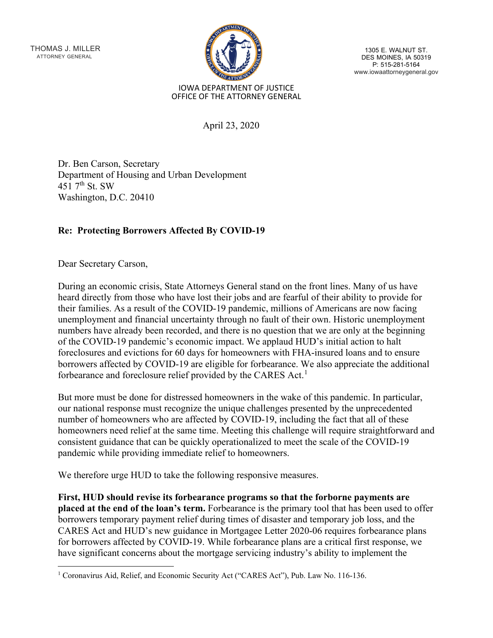THOMAS J. MILLER ATTORNEY GENERAL



1305 E. WALNUT ST. DES MOINES, IA 50319<br>P: 515-281-5164 www.iowaattorneygeneral.gov

## IOWA DEPARTMENT OF JUSTICE OFFICE OF THE ATTORNEY GENERAL

April 23, 2020

Dr. Ben Carson, Secretary Department of Housing and Urban Development 451  $7<sup>th</sup>$  St. SW Washington, D.C. 20410

## **Re: Protecting Borrowers Affected By COVID-19**

Dear Secretary Carson,

During an economic crisis, State Attorneys General stand on the front lines. Many of us have heard directly from those who have lost their jobs and are fearful of their ability to provide for their families. As a result of the COVID-19 pandemic, millions of Americans are now facing unemployment and financial uncertainty through no fault of their own. Historic unemployment numbers have already been recorded, and there is no question that we are only at the beginning of the COVID-19 pandemic's economic impact. We applaud HUD's initial action to halt foreclosures and evictions for 60 days for homeowners with FHA-insured loans and to ensure borrowers affected by COVID-19 are eligible for forbearance. We also appreciate the additional forbearance and foreclosure relief provided by the CARES Act.<sup>[1](#page-0-0)</sup>

But more must be done for distressed homeowners in the wake of this pandemic. In particular, our national response must recognize the unique challenges presented by the unprecedented number of homeowners who are affected by COVID-19, including the fact that all of these homeowners need relief at the same time. Meeting this challenge will require straightforward and consistent guidance that can be quickly operationalized to meet the scale of the COVID-19 pandemic while providing immediate relief to homeowners.

We therefore urge HUD to take the following responsive measures.

**First, HUD should revise its forbearance programs so that the forborne payments are placed at the end of the loan's term.** Forbearance is the primary tool that has been used to offer borrowers temporary payment relief during times of disaster and temporary job loss, and the CARES Act and HUD's new guidance in Mortgagee Letter 2020-06 requires forbearance plans for borrowers affected by COVID-19. While forbearance plans are a critical first response, we have significant concerns about the mortgage servicing industry's ability to implement the

<span id="page-0-0"></span><sup>1</sup> Coronavirus Aid, Relief, and Economic Security Act ("CARES Act"), Pub. Law No. 116-136.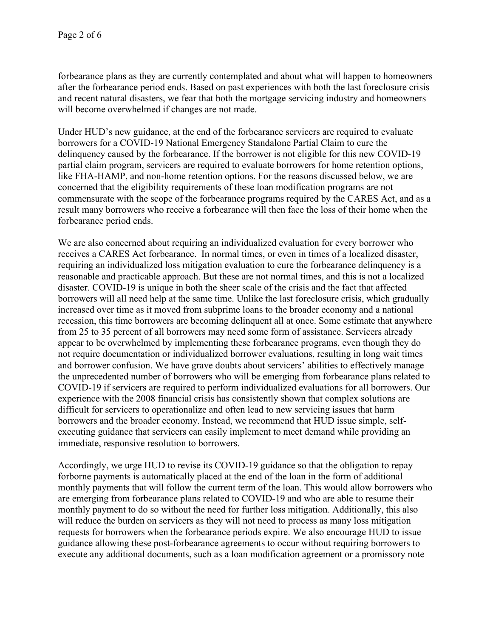forbearance plans as they are currently contemplated and about what will happen to homeowners after the forbearance period ends. Based on past experiences with both the last foreclosure crisis and recent natural disasters, we fear that both the mortgage servicing industry and homeowners will become overwhelmed if changes are not made.

Under HUD's new guidance, at the end of the forbearance servicers are required to evaluate borrowers for a COVID-19 National Emergency Standalone Partial Claim to cure the delinquency caused by the forbearance. If the borrower is not eligible for this new COVID-19 partial claim program, servicers are required to evaluate borrowers for home retention options, like FHA-HAMP, and non-home retention options. For the reasons discussed below, we are concerned that the eligibility requirements of these loan modification programs are not commensurate with the scope of the forbearance programs required by the CARES Act, and as a result many borrowers who receive a forbearance will then face the loss of their home when the forbearance period ends.

We are also concerned about requiring an individualized evaluation for every borrower who receives a CARES Act forbearance. In normal times, or even in times of a localized disaster, requiring an individualized loss mitigation evaluation to cure the forbearance delinquency is a reasonable and practicable approach. But these are not normal times, and this is not a localized disaster. COVID-19 is unique in both the sheer scale of the crisis and the fact that affected borrowers will all need help at the same time. Unlike the last foreclosure crisis, which gradually increased over time as it moved from subprime loans to the broader economy and a national recession, this time borrowers are becoming delinquent all at once. Some estimate that anywhere from 25 to 35 percent of all borrowers may need some form of assistance. Servicers already appear to be overwhelmed by implementing these forbearance programs, even though they do not require documentation or individualized borrower evaluations, resulting in long wait times and borrower confusion. We have grave doubts about servicers' abilities to effectively manage the unprecedented number of borrowers who will be emerging from forbearance plans related to COVID-19 if servicers are required to perform individualized evaluations for all borrowers. Our experience with the 2008 financial crisis has consistently shown that complex solutions are difficult for servicers to operationalize and often lead to new servicing issues that harm borrowers and the broader economy. Instead, we recommend that HUD issue simple, selfexecuting guidance that servicers can easily implement to meet demand while providing an immediate, responsive resolution to borrowers.

Accordingly, we urge HUD to revise its COVID-19 guidance so that the obligation to repay forborne payments is automatically placed at the end of the loan in the form of additional monthly payments that will follow the current term of the loan. This would allow borrowers who are emerging from forbearance plans related to COVID-19 and who are able to resume their monthly payment to do so without the need for further loss mitigation. Additionally, this also will reduce the burden on servicers as they will not need to process as many loss mitigation requests for borrowers when the forbearance periods expire. We also encourage HUD to issue guidance allowing these post-forbearance agreements to occur without requiring borrowers to execute any additional documents, such as a loan modification agreement or a promissory note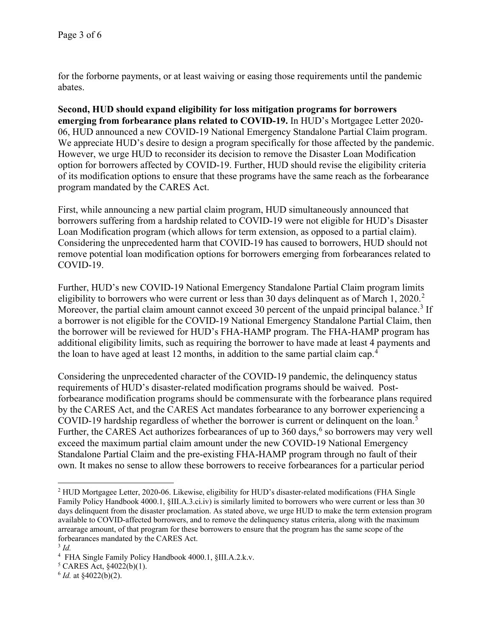for the forborne payments, or at least waiving or easing those requirements until the pandemic abates.

**Second, HUD should expand eligibility for loss mitigation programs for borrowers emerging from forbearance plans related to COVID-19.** In HUD's Mortgagee Letter 2020- 06, HUD announced a new COVID-19 National Emergency Standalone Partial Claim program. We appreciate HUD's desire to design a program specifically for those affected by the pandemic. However, we urge HUD to reconsider its decision to remove the Disaster Loan Modification option for borrowers affected by COVID-19. Further, HUD should revise the eligibility criteria of its modification options to ensure that these programs have the same reach as the forbearance program mandated by the CARES Act.

First, while announcing a new partial claim program, HUD simultaneously announced that borrowers suffering from a hardship related to COVID-19 were not eligible for HUD's Disaster Loan Modification program (which allows for term extension, as opposed to a partial claim). Considering the unprecedented harm that COVID-19 has caused to borrowers, HUD should not remove potential loan modification options for borrowers emerging from forbearances related to COVID-19.

Further, HUD's new COVID-19 National Emergency Standalone Partial Claim program limits eligibility to borrowers who were current or less than 30 days delinquent as of March 1,  $2020$  $2020$ <sup>2</sup> Moreover, the partial claim amount cannot exceed [3](#page-2-1)0 percent of the unpaid principal balance.<sup>3</sup> If a borrower is not eligible for the COVID-19 National Emergency Standalone Partial Claim, then the borrower will be reviewed for HUD's FHA-HAMP program. The FHA-HAMP program has additional eligibility limits, such as requiring the borrower to have made at least 4 payments and the loan to have aged at least 12 months, in addition to the same partial claim cap.[4](#page-2-2)

Considering the unprecedented character of the COVID-19 pandemic, the delinquency status requirements of HUD's disaster-related modification programs should be waived. Postforbearance modification programs should be commensurate with the forbearance plans required by the CARES Act, and the CARES Act mandates forbearance to any borrower experiencing a COVID-19 hardship regardless of whether the borrower is current or delinquent on the loan.<sup>[5](#page-2-3)</sup> Further, the CARES Act authorizes forbearances of up to  $360 \text{ days}$  $360 \text{ days}$  $360 \text{ days}$ , so borrowers may very well exceed the maximum partial claim amount under the new COVID-19 National Emergency Standalone Partial Claim and the pre-existing FHA-HAMP program through no fault of their own. It makes no sense to allow these borrowers to receive forbearances for a particular period

<span id="page-2-0"></span><sup>&</sup>lt;sup>2</sup> HUD Mortgagee Letter, 2020-06. Likewise, eligibility for HUD's disaster-related modifications (FHA Single Family Policy Handbook 4000.1, §III.A.3.ci.iv) is similarly limited to borrowers who were current or less than 30 days delinquent from the disaster proclamation. As stated above, we urge HUD to make the term extension program available to COVID-affected borrowers, and to remove the delinquency status criteria, along with the maximum arrearage amount, of that program for these borrowers to ensure that the program has the same scope of the forbearances mandated by the CARES Act.

<span id="page-2-1"></span><sup>3</sup> *Id.*

<span id="page-2-2"></span><sup>4</sup> FHA Single Family Policy Handbook 4000.1, §III.A.2.k.v.

<span id="page-2-3"></span> $5$  CARES Act,  $§4022(b)(1)$ .

<span id="page-2-4"></span> $6$  *Id.* at  $\frac{$4022(b)(2)}{2}$ .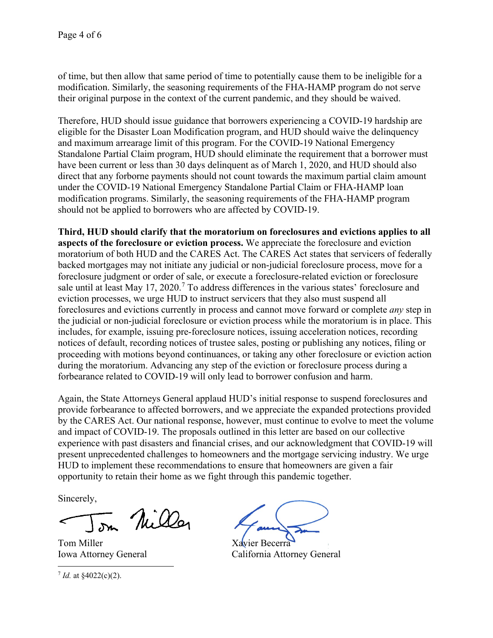of time, but then allow that same period of time to potentially cause them to be ineligible for a modification. Similarly, the seasoning requirements of the FHA-HAMP program do not serve their original purpose in the context of the current pandemic, and they should be waived.

Therefore, HUD should issue guidance that borrowers experiencing a COVID-19 hardship are eligible for the Disaster Loan Modification program, and HUD should waive the delinquency and maximum arrearage limit of this program. For the COVID-19 National Emergency Standalone Partial Claim program, HUD should eliminate the requirement that a borrower must have been current or less than 30 days delinquent as of March 1, 2020, and HUD should also direct that any forborne payments should not count towards the maximum partial claim amount under the COVID-19 National Emergency Standalone Partial Claim or FHA-HAMP loan modification programs. Similarly, the seasoning requirements of the FHA-HAMP program should not be applied to borrowers who are affected by COVID-19.

**Third, HUD should clarify that the moratorium on foreclosures and evictions applies to all aspects of the foreclosure or eviction process.** We appreciate the foreclosure and eviction moratorium of both HUD and the CARES Act. The CARES Act states that servicers of federally backed mortgages may not initiate any judicial or non-judicial foreclosure process, move for a foreclosure judgment or order of sale, or execute a foreclosure-related eviction or foreclosure sale until at least May 1[7](#page-3-0), 2020.<sup>7</sup> To address differences in the various states' foreclosure and eviction processes, we urge HUD to instruct servicers that they also must suspend all foreclosures and evictions currently in process and cannot move forward or complete *any* step in the judicial or non-judicial foreclosure or eviction process while the moratorium is in place. This includes, for example, issuing pre-foreclosure notices, issuing acceleration notices, recording notices of default, recording notices of trustee sales, posting or publishing any notices, filing or proceeding with motions beyond continuances, or taking any other foreclosure or eviction action during the moratorium. Advancing any step of the eviction or foreclosure process during a forbearance related to COVID-19 will only lead to borrower confusion and harm.

Again, the State Attorneys General applaud HUD's initial response to suspend foreclosures and provide forbearance to affected borrowers, and we appreciate the expanded protections provided by the CARES Act. Our national response, however, must continue to evolve to meet the volume and impact of COVID-19. The proposals outlined in this letter are based on our collective experience with past disasters and financial crises, and our acknowledgment that COVID-19 will present unprecedented challenges to homeowners and the mortgage servicing industry. We urge HUD to implement these recommendations to ensure that homeowners are given a fair opportunity to retain their home as we fight through this pandemic together.

Sincerely,

on Niller

Tom Miller Xavier Becerra

<span id="page-3-0"></span> $7$  *Id.* at  $\frac{$4022(c)(2)}{2}$ .

Iowa Attorney General California Attorney General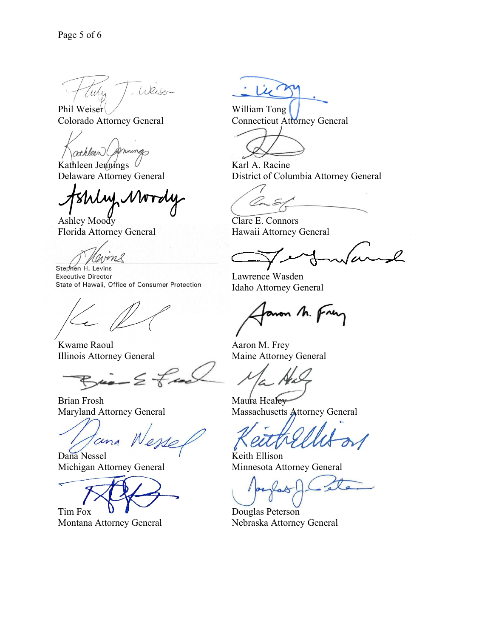Weiser Tuly

Phil Weiser William Tong<br>
Colorado Attorney General<br>
Connecticut Attorney Connecticut Attorney General

mings athleen

Kathleen Jennings  $\mathcal{U}$  Karl A. Racine

Lul NW

Ashley Moody Clare E. Connors Florida Attorney General Hawaii Attorney General

nome

Stephen H. Levins **Executive Director** State of Hawaii, Office of Consumer Protection

Kwame Raoul **Aaron M. Frey** Illinois Attorney General Maine Attorney General

 $\zeta$ ice =  $\leq \zeta$ 

Brian Frosh Maura Healey

cin

Dana Nessel Keith Ellison

Tim Fox **U** 

Lu<sup>2</sup>

Connecticut Attorney General

Delaware Attorney General District of Columbia Attorney General

Va.

 $\varrho$ 

Lawrence Wasden Idaho Attorney General

mon M. Fren

Maryland Attorney General Massachusetts Attorney General

Michigan Attorney General Minnesota Attorney General

Montana Attorney General Nebraska Attorney General